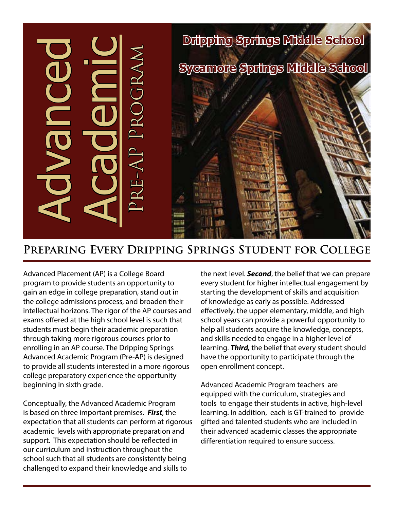

# **Preparing Every Dripping Springs Student for College**

Advanced Placement (AP) is a College Board program to provide students an opportunity to gain an edge in college preparation, stand out in the college admissions process, and broaden their intellectual horizons. The rigor of the AP courses and exams offered at the high school level is such that students must begin their academic preparation through taking more rigorous courses prior to enrolling in an AP course. The Dripping Springs Advanced Academic Program (Pre-AP) is designed to provide all students interested in a more rigorous college preparatory experience the opportunity beginning in sixth grade.

Conceptually, the Advanced Academic Program is based on three important premises. *First*, the expectation that all students can perform at rigorous academic levels with appropriate preparation and support. This expectation should be reflected in our curriculum and instruction throughout the school such that all students are consistently being challenged to expand their knowledge and skills to

the next level. *Second*, the belief that we can prepare every student for higher intellectual engagement by starting the development of skills and acquisition of knowledge as early as possible. Addressed effectively, the upper elementary, middle, and high school years can provide a powerful opportunity to help all students acquire the knowledge, concepts, and skills needed to engage in a higher level of learning. *Third,* the belief that every student should have the opportunity to participate through the open enrollment concept.

Advanced Academic Program teachers are equipped with the curriculum, strategies and tools to engage their students in active, high-level learning. In addition, each is GT-trained to provide gifted and talented students who are included in their advanced academic classes the appropriate differentiation required to ensure success.